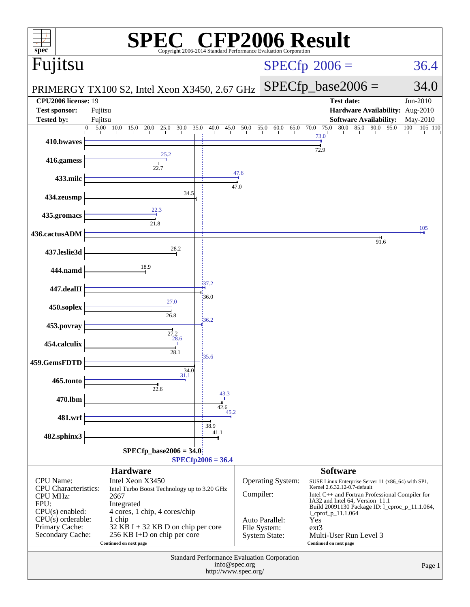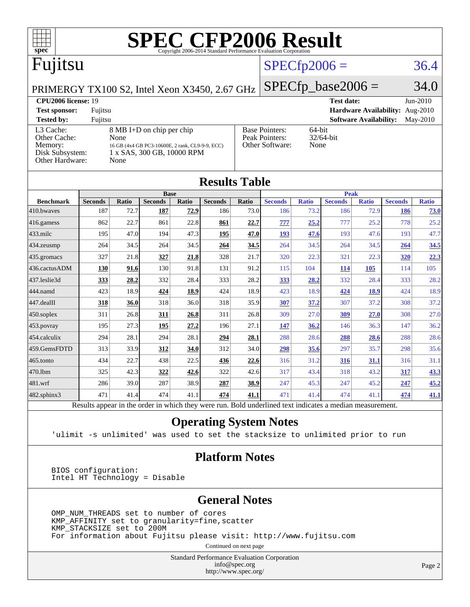| spec <sup>®</sup>                                                                                                                                                                                                    |                    |       |                               |       | <b>SPEC CFP2006 Result</b><br>Copyright 2006-2014 Standard Performance Evaluation Corporation |                   |                |              |                      |                                                                |                |                                    |
|----------------------------------------------------------------------------------------------------------------------------------------------------------------------------------------------------------------------|--------------------|-------|-------------------------------|-------|-----------------------------------------------------------------------------------------------|-------------------|----------------|--------------|----------------------|----------------------------------------------------------------|----------------|------------------------------------|
| Fujitsu                                                                                                                                                                                                              |                    |       |                               |       |                                                                                               |                   | $SPECfp2006 =$ |              |                      |                                                                |                | 36.4                               |
| PRIMERGY TX100 S2, Intel Xeon X3450, 2.67 GHz                                                                                                                                                                        |                    |       |                               |       |                                                                                               |                   |                |              | $SPECfp\_base2006 =$ |                                                                |                | 34.0                               |
| <b>CPU2006 license: 19</b><br><b>Test sponsor:</b><br><b>Tested by:</b>                                                                                                                                              | Fujitsu<br>Fujitsu |       |                               |       |                                                                                               |                   |                |              | <b>Test date:</b>    | <b>Hardware Availability:</b><br><b>Software Availability:</b> |                | $Jun-2010$<br>Aug-2010<br>May-2010 |
| 8 MB I+D on chip per chip<br>L <sub>3</sub> Cache:<br>Other Cache:<br>None<br>Memory:<br>16 GB (4x4 GB PC3-10600E, 2 rank, CL9-9-9, ECC)<br>1 x SAS, 300 GB, 10000 RPM<br>Disk Subsystem:<br>Other Hardware:<br>None |                    |       |                               |       | <b>Base Pointers:</b><br>Peak Pointers:<br>Other Software:                                    | $64$ -bit<br>None | $32/64$ -bit   |              |                      |                                                                |                |                                    |
|                                                                                                                                                                                                                      |                    |       |                               |       | <b>Results Table</b>                                                                          |                   |                |              | Peak                 |                                                                |                |                                    |
| <b>Benchmark</b>                                                                                                                                                                                                     | <b>Seconds</b>     | Ratio | <b>Base</b><br><b>Seconds</b> | Ratio | <b>Seconds</b>                                                                                | Ratio             | <b>Seconds</b> | <b>Ratio</b> | <b>Seconds</b>       | <b>Ratio</b>                                                   | <b>Seconds</b> | <b>Ratio</b>                       |
| 410.bwayes                                                                                                                                                                                                           | 187                | 72.7  | 187                           | 72.9  | 186                                                                                           | 73.0              |                |              |                      | 72.9                                                           |                | 73.0                               |
| $416$ .gamess                                                                                                                                                                                                        |                    |       |                               |       |                                                                                               |                   | 186            | 73.2         | 186                  |                                                                | 186            |                                    |
|                                                                                                                                                                                                                      | 862                | 22.7  | 861                           | 22.8  | 861                                                                                           | 22.7              | 777            | 25.2         | 777                  | 25.2                                                           | 778            | 25.2                               |
| 433.milc                                                                                                                                                                                                             | 195                | 47.0  | 194                           | 47.3  | 195                                                                                           | 47.0              | <b>193</b>     | 47.6         | 193                  | 47.6                                                           | 193            | 47.7                               |
| $434$ . zeusmp                                                                                                                                                                                                       | 264                | 34.5  | 264                           | 34.5  | 264                                                                                           | 34.5              | 264            | 34.5         | 264                  | 34.5                                                           | 264            | 34.5                               |
| 435.gromacs                                                                                                                                                                                                          | 327                | 21.8  | 327                           | 21.8  | 328                                                                                           | 21.7              | 320            | 22.3         | 321                  | 22.3                                                           | 320            | 22.3                               |
| 436.cactusADM                                                                                                                                                                                                        | 130                | 91.6  | 130                           | 91.8  | 131                                                                                           | 91.2              | 115            | 104          | 114                  | 105                                                            | 114            | 105                                |
| 437.leslie3d                                                                                                                                                                                                         | 333                | 28.2  | 332                           | 28.4  | 333                                                                                           | 28.2              | 333            | 28.2         | 332                  | 28.4                                                           | 333            | 28.2                               |
| 444.namd                                                                                                                                                                                                             | 423                | 18.9  | 424                           | 18.9  | 424                                                                                           | 18.9              | 423            | 18.9         | 424                  | <b>18.9</b>                                                    | 424            | 18.9                               |

### **[Operating System Notes](http://www.spec.org/auto/cpu2006/Docs/result-fields.html#OperatingSystemNotes)**

[450.soplex](http://www.spec.org/auto/cpu2006/Docs/450.soplex.html) 311 26.8 **[311](http://www.spec.org/auto/cpu2006/Docs/result-fields.html#Median) [26.8](http://www.spec.org/auto/cpu2006/Docs/result-fields.html#Median)** 311 26.8 309 27.0 **[309](http://www.spec.org/auto/cpu2006/Docs/result-fields.html#Median) [27.0](http://www.spec.org/auto/cpu2006/Docs/result-fields.html#Median)** 308 27.0 [453.povray](http://www.spec.org/auto/cpu2006/Docs/453.povray.html) 195 27.3 **[195](http://www.spec.org/auto/cpu2006/Docs/result-fields.html#Median) [27.2](http://www.spec.org/auto/cpu2006/Docs/result-fields.html#Median)** 196 27.1 **[147](http://www.spec.org/auto/cpu2006/Docs/result-fields.html#Median) [36.2](http://www.spec.org/auto/cpu2006/Docs/result-fields.html#Median)** 146 36.3 147 36.2 [454.calculix](http://www.spec.org/auto/cpu2006/Docs/454.calculix.html) 294 28.1 294 28.1 **[294](http://www.spec.org/auto/cpu2006/Docs/result-fields.html#Median) [28.1](http://www.spec.org/auto/cpu2006/Docs/result-fields.html#Median)** 288 28.6 **[288](http://www.spec.org/auto/cpu2006/Docs/result-fields.html#Median) [28.6](http://www.spec.org/auto/cpu2006/Docs/result-fields.html#Median)** 288 28.6 [459.GemsFDTD](http://www.spec.org/auto/cpu2006/Docs/459.GemsFDTD.html) 313 33.9 **[312](http://www.spec.org/auto/cpu2006/Docs/result-fields.html#Median) [34.0](http://www.spec.org/auto/cpu2006/Docs/result-fields.html#Median)** 312 34.0 **[298](http://www.spec.org/auto/cpu2006/Docs/result-fields.html#Median) [35.6](http://www.spec.org/auto/cpu2006/Docs/result-fields.html#Median)** 297 35.7 298 35.6 [465.tonto](http://www.spec.org/auto/cpu2006/Docs/465.tonto.html) 434 22.7 438 22.5 **[436](http://www.spec.org/auto/cpu2006/Docs/result-fields.html#Median) [22.6](http://www.spec.org/auto/cpu2006/Docs/result-fields.html#Median)** 316 31.2 **[316](http://www.spec.org/auto/cpu2006/Docs/result-fields.html#Median) [31.1](http://www.spec.org/auto/cpu2006/Docs/result-fields.html#Median)** 316 31.1 [470.lbm](http://www.spec.org/auto/cpu2006/Docs/470.lbm.html) 325 42.3 **[322](http://www.spec.org/auto/cpu2006/Docs/result-fields.html#Median) [42.6](http://www.spec.org/auto/cpu2006/Docs/result-fields.html#Median)** 322 42.6 317 43.4 318 43.2 **[317](http://www.spec.org/auto/cpu2006/Docs/result-fields.html#Median) [43.3](http://www.spec.org/auto/cpu2006/Docs/result-fields.html#Median)** [481.wrf](http://www.spec.org/auto/cpu2006/Docs/481.wrf.html) 286 39.0 287 38.9 **[287](http://www.spec.org/auto/cpu2006/Docs/result-fields.html#Median) [38.9](http://www.spec.org/auto/cpu2006/Docs/result-fields.html#Median)** 247 45.3 247 45.2 **[247](http://www.spec.org/auto/cpu2006/Docs/result-fields.html#Median) [45.2](http://www.spec.org/auto/cpu2006/Docs/result-fields.html#Median)** [482.sphinx3](http://www.spec.org/auto/cpu2006/Docs/482.sphinx3.html) 471 41.4 474 41.1 **[474](http://www.spec.org/auto/cpu2006/Docs/result-fields.html#Median) [41.1](http://www.spec.org/auto/cpu2006/Docs/result-fields.html#Median)** 471 41.4 474 41.1 **[474](http://www.spec.org/auto/cpu2006/Docs/result-fields.html#Median) [41.1](http://www.spec.org/auto/cpu2006/Docs/result-fields.html#Median)** Results appear in the [order in which they were run.](http://www.spec.org/auto/cpu2006/Docs/result-fields.html#RunOrder) Bold underlined text [indicates a median measurement.](http://www.spec.org/auto/cpu2006/Docs/result-fields.html#Median)

'ulimit -s unlimited' was used to set the stacksize to unlimited prior to run

### **[Platform Notes](http://www.spec.org/auto/cpu2006/Docs/result-fields.html#PlatformNotes)**

 BIOS configuration: Intel HT Technology = Disable

### **[General Notes](http://www.spec.org/auto/cpu2006/Docs/result-fields.html#GeneralNotes)**

 OMP\_NUM\_THREADS set to number of cores KMP\_AFFINITY set to granularity=fine,scatter KMP\_STACKSIZE set to 200M For information about Fujitsu please visit: <http://www.fujitsu.com>

Continued on next page

Standard Performance Evaluation Corporation [info@spec.org](mailto:info@spec.org) <http://www.spec.org/>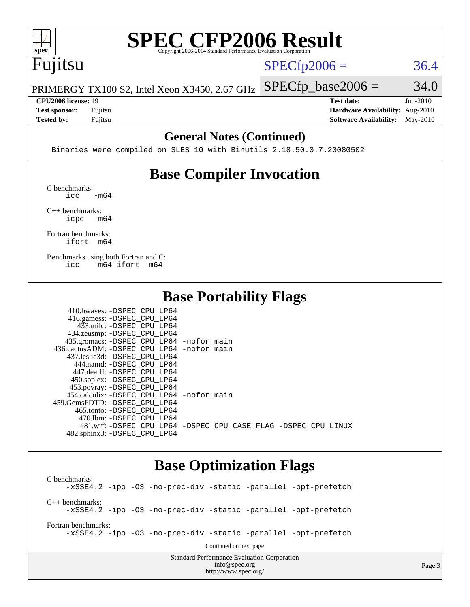

# **[SPEC CFP2006 Result](http://www.spec.org/auto/cpu2006/Docs/result-fields.html#SPECCFP2006Result)**

# Fujitsu

 $SPECTp2006 = 36.4$ 

PRIMERGY TX100 S2, Intel Xeon X3450, 2.67 GHz  $SPECTp\_base2006 = 34.0$ 

**[Tested by:](http://www.spec.org/auto/cpu2006/Docs/result-fields.html#Testedby)** Fujitsu **[Software Availability:](http://www.spec.org/auto/cpu2006/Docs/result-fields.html#SoftwareAvailability)** May-2010

**[CPU2006 license:](http://www.spec.org/auto/cpu2006/Docs/result-fields.html#CPU2006license)** 19 **[Test date:](http://www.spec.org/auto/cpu2006/Docs/result-fields.html#Testdate)** Jun-2010 **[Test sponsor:](http://www.spec.org/auto/cpu2006/Docs/result-fields.html#Testsponsor)** Fujitsu **[Hardware Availability:](http://www.spec.org/auto/cpu2006/Docs/result-fields.html#HardwareAvailability)** Aug-2010

### **[General Notes \(Continued\)](http://www.spec.org/auto/cpu2006/Docs/result-fields.html#GeneralNotes)**

Binaries were compiled on SLES 10 with Binutils 2.18.50.0.7.20080502

## **[Base Compiler Invocation](http://www.spec.org/auto/cpu2006/Docs/result-fields.html#BaseCompilerInvocation)**

[C benchmarks](http://www.spec.org/auto/cpu2006/Docs/result-fields.html#Cbenchmarks):  $\text{icc}$   $-\text{m64}$ 

[C++ benchmarks:](http://www.spec.org/auto/cpu2006/Docs/result-fields.html#CXXbenchmarks) [icpc -m64](http://www.spec.org/cpu2006/results/res2010q3/cpu2006-20100716-12417.flags.html#user_CXXbase_intel_icpc_64bit_bedb90c1146cab66620883ef4f41a67e)

[Fortran benchmarks](http://www.spec.org/auto/cpu2006/Docs/result-fields.html#Fortranbenchmarks): [ifort -m64](http://www.spec.org/cpu2006/results/res2010q3/cpu2006-20100716-12417.flags.html#user_FCbase_intel_ifort_64bit_ee9d0fb25645d0210d97eb0527dcc06e)

[Benchmarks using both Fortran and C](http://www.spec.org/auto/cpu2006/Docs/result-fields.html#BenchmarksusingbothFortranandC): [icc -m64](http://www.spec.org/cpu2006/results/res2010q3/cpu2006-20100716-12417.flags.html#user_CC_FCbase_intel_icc_64bit_0b7121f5ab7cfabee23d88897260401c) [ifort -m64](http://www.spec.org/cpu2006/results/res2010q3/cpu2006-20100716-12417.flags.html#user_CC_FCbase_intel_ifort_64bit_ee9d0fb25645d0210d97eb0527dcc06e)

### **[Base Portability Flags](http://www.spec.org/auto/cpu2006/Docs/result-fields.html#BasePortabilityFlags)**

| 410.bwaves: -DSPEC CPU LP64                |                                                                |
|--------------------------------------------|----------------------------------------------------------------|
| 416.gamess: -DSPEC_CPU_LP64                |                                                                |
| 433.milc: -DSPEC CPU LP64                  |                                                                |
| 434.zeusmp: -DSPEC_CPU_LP64                |                                                                |
| 435.gromacs: -DSPEC_CPU_LP64 -nofor_main   |                                                                |
| 436.cactusADM: -DSPEC CPU LP64 -nofor main |                                                                |
| 437.leslie3d: -DSPEC CPU LP64              |                                                                |
| 444.namd: -DSPEC CPU LP64                  |                                                                |
| 447.dealII: -DSPEC CPU LP64                |                                                                |
| 450.soplex: -DSPEC_CPU_LP64                |                                                                |
| 453.povray: -DSPEC_CPU_LP64                |                                                                |
| 454.calculix: -DSPEC CPU LP64 -nofor main  |                                                                |
| 459. GemsFDTD: - DSPEC CPU LP64            |                                                                |
| 465.tonto: -DSPEC CPU LP64                 |                                                                |
| 470.1bm: - DSPEC CPU LP64                  |                                                                |
|                                            | 481.wrf: -DSPEC CPU_LP64 -DSPEC_CPU_CASE_FLAG -DSPEC_CPU_LINUX |
| 482.sphinx3: -DSPEC CPU LP64               |                                                                |

### **[Base Optimization Flags](http://www.spec.org/auto/cpu2006/Docs/result-fields.html#BaseOptimizationFlags)**

Standard Performance Evaluation Corporation [C benchmarks](http://www.spec.org/auto/cpu2006/Docs/result-fields.html#Cbenchmarks): [-xSSE4.2](http://www.spec.org/cpu2006/results/res2010q3/cpu2006-20100716-12417.flags.html#user_CCbase_f-xSSE42_f91528193cf0b216347adb8b939d4107) [-ipo](http://www.spec.org/cpu2006/results/res2010q3/cpu2006-20100716-12417.flags.html#user_CCbase_f-ipo) [-O3](http://www.spec.org/cpu2006/results/res2010q3/cpu2006-20100716-12417.flags.html#user_CCbase_f-O3) [-no-prec-div](http://www.spec.org/cpu2006/results/res2010q3/cpu2006-20100716-12417.flags.html#user_CCbase_f-no-prec-div) [-static](http://www.spec.org/cpu2006/results/res2010q3/cpu2006-20100716-12417.flags.html#user_CCbase_f-static) [-parallel](http://www.spec.org/cpu2006/results/res2010q3/cpu2006-20100716-12417.flags.html#user_CCbase_f-parallel) [-opt-prefetch](http://www.spec.org/cpu2006/results/res2010q3/cpu2006-20100716-12417.flags.html#user_CCbase_f-opt-prefetch) [C++ benchmarks:](http://www.spec.org/auto/cpu2006/Docs/result-fields.html#CXXbenchmarks) [-xSSE4.2](http://www.spec.org/cpu2006/results/res2010q3/cpu2006-20100716-12417.flags.html#user_CXXbase_f-xSSE42_f91528193cf0b216347adb8b939d4107) [-ipo](http://www.spec.org/cpu2006/results/res2010q3/cpu2006-20100716-12417.flags.html#user_CXXbase_f-ipo) [-O3](http://www.spec.org/cpu2006/results/res2010q3/cpu2006-20100716-12417.flags.html#user_CXXbase_f-O3) [-no-prec-div](http://www.spec.org/cpu2006/results/res2010q3/cpu2006-20100716-12417.flags.html#user_CXXbase_f-no-prec-div) [-static](http://www.spec.org/cpu2006/results/res2010q3/cpu2006-20100716-12417.flags.html#user_CXXbase_f-static) [-parallel](http://www.spec.org/cpu2006/results/res2010q3/cpu2006-20100716-12417.flags.html#user_CXXbase_f-parallel) [-opt-prefetch](http://www.spec.org/cpu2006/results/res2010q3/cpu2006-20100716-12417.flags.html#user_CXXbase_f-opt-prefetch) [Fortran benchmarks](http://www.spec.org/auto/cpu2006/Docs/result-fields.html#Fortranbenchmarks): [-xSSE4.2](http://www.spec.org/cpu2006/results/res2010q3/cpu2006-20100716-12417.flags.html#user_FCbase_f-xSSE42_f91528193cf0b216347adb8b939d4107) [-ipo](http://www.spec.org/cpu2006/results/res2010q3/cpu2006-20100716-12417.flags.html#user_FCbase_f-ipo) [-O3](http://www.spec.org/cpu2006/results/res2010q3/cpu2006-20100716-12417.flags.html#user_FCbase_f-O3) [-no-prec-div](http://www.spec.org/cpu2006/results/res2010q3/cpu2006-20100716-12417.flags.html#user_FCbase_f-no-prec-div) [-static](http://www.spec.org/cpu2006/results/res2010q3/cpu2006-20100716-12417.flags.html#user_FCbase_f-static) [-parallel](http://www.spec.org/cpu2006/results/res2010q3/cpu2006-20100716-12417.flags.html#user_FCbase_f-parallel) [-opt-prefetch](http://www.spec.org/cpu2006/results/res2010q3/cpu2006-20100716-12417.flags.html#user_FCbase_f-opt-prefetch) Continued on next page

[info@spec.org](mailto:info@spec.org) <http://www.spec.org/>

Page 3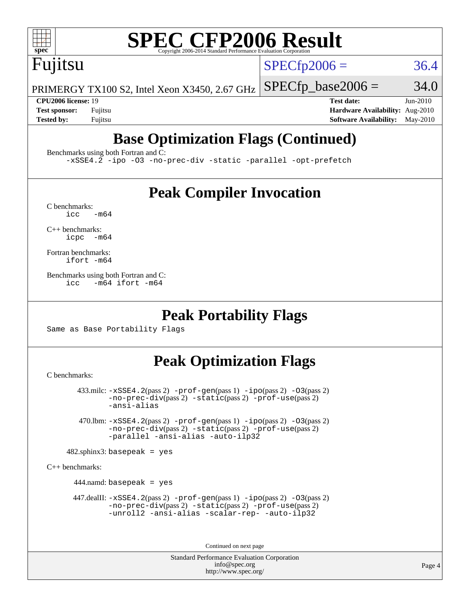

# **[SPEC CFP2006 Result](http://www.spec.org/auto/cpu2006/Docs/result-fields.html#SPECCFP2006Result)**

Fujitsu

 $SPECTp2006 = 36.4$ 

PRIMERGY TX100 S2, Intel Xeon X3450, 2.67 GHz  $SPECTp\_base2006 = 34.0$ 

**[CPU2006 license:](http://www.spec.org/auto/cpu2006/Docs/result-fields.html#CPU2006license)** 19 **[Test date:](http://www.spec.org/auto/cpu2006/Docs/result-fields.html#Testdate)** Jun-2010 **[Test sponsor:](http://www.spec.org/auto/cpu2006/Docs/result-fields.html#Testsponsor)** Fujitsu **[Hardware Availability:](http://www.spec.org/auto/cpu2006/Docs/result-fields.html#HardwareAvailability)** Aug-2010 **[Tested by:](http://www.spec.org/auto/cpu2006/Docs/result-fields.html#Testedby)** Fujitsu **[Software Availability:](http://www.spec.org/auto/cpu2006/Docs/result-fields.html#SoftwareAvailability)** May-2010

## **[Base Optimization Flags \(Continued\)](http://www.spec.org/auto/cpu2006/Docs/result-fields.html#BaseOptimizationFlags)**

[Benchmarks using both Fortran and C](http://www.spec.org/auto/cpu2006/Docs/result-fields.html#BenchmarksusingbothFortranandC):

[-xSSE4.2](http://www.spec.org/cpu2006/results/res2010q3/cpu2006-20100716-12417.flags.html#user_CC_FCbase_f-xSSE42_f91528193cf0b216347adb8b939d4107) [-ipo](http://www.spec.org/cpu2006/results/res2010q3/cpu2006-20100716-12417.flags.html#user_CC_FCbase_f-ipo) [-O3](http://www.spec.org/cpu2006/results/res2010q3/cpu2006-20100716-12417.flags.html#user_CC_FCbase_f-O3) [-no-prec-div](http://www.spec.org/cpu2006/results/res2010q3/cpu2006-20100716-12417.flags.html#user_CC_FCbase_f-no-prec-div) [-static](http://www.spec.org/cpu2006/results/res2010q3/cpu2006-20100716-12417.flags.html#user_CC_FCbase_f-static) [-parallel](http://www.spec.org/cpu2006/results/res2010q3/cpu2006-20100716-12417.flags.html#user_CC_FCbase_f-parallel) [-opt-prefetch](http://www.spec.org/cpu2006/results/res2010q3/cpu2006-20100716-12417.flags.html#user_CC_FCbase_f-opt-prefetch)

### **[Peak Compiler Invocation](http://www.spec.org/auto/cpu2006/Docs/result-fields.html#PeakCompilerInvocation)**

 $C$  benchmarks:<br>icc  $-m64$ 

[C++ benchmarks:](http://www.spec.org/auto/cpu2006/Docs/result-fields.html#CXXbenchmarks) [icpc -m64](http://www.spec.org/cpu2006/results/res2010q3/cpu2006-20100716-12417.flags.html#user_CXXpeak_intel_icpc_64bit_bedb90c1146cab66620883ef4f41a67e)

[Fortran benchmarks](http://www.spec.org/auto/cpu2006/Docs/result-fields.html#Fortranbenchmarks): [ifort -m64](http://www.spec.org/cpu2006/results/res2010q3/cpu2006-20100716-12417.flags.html#user_FCpeak_intel_ifort_64bit_ee9d0fb25645d0210d97eb0527dcc06e)

[Benchmarks using both Fortran and C](http://www.spec.org/auto/cpu2006/Docs/result-fields.html#BenchmarksusingbothFortranandC): [icc -m64](http://www.spec.org/cpu2006/results/res2010q3/cpu2006-20100716-12417.flags.html#user_CC_FCpeak_intel_icc_64bit_0b7121f5ab7cfabee23d88897260401c) [ifort -m64](http://www.spec.org/cpu2006/results/res2010q3/cpu2006-20100716-12417.flags.html#user_CC_FCpeak_intel_ifort_64bit_ee9d0fb25645d0210d97eb0527dcc06e)

### **[Peak Portability Flags](http://www.spec.org/auto/cpu2006/Docs/result-fields.html#PeakPortabilityFlags)**

Same as Base Portability Flags

## **[Peak Optimization Flags](http://www.spec.org/auto/cpu2006/Docs/result-fields.html#PeakOptimizationFlags)**

[C benchmarks](http://www.spec.org/auto/cpu2006/Docs/result-fields.html#Cbenchmarks):

```
 433.milc: -xSSE4.2(pass 2) -prof-gen(pass 1) -ipo(pass 2) -O3(pass 2)
-no-prec-div(pass 2) -static(pass 2) -prof-use(pass 2)
-ansi-alias
```
 470.lbm: [-xSSE4.2](http://www.spec.org/cpu2006/results/res2010q3/cpu2006-20100716-12417.flags.html#user_peakPASS2_CFLAGSPASS2_LDFLAGS470_lbm_f-xSSE42_f91528193cf0b216347adb8b939d4107)(pass 2) [-prof-gen](http://www.spec.org/cpu2006/results/res2010q3/cpu2006-20100716-12417.flags.html#user_peakPASS1_CFLAGSPASS1_LDFLAGS470_lbm_prof_gen_e43856698f6ca7b7e442dfd80e94a8fc)(pass 1) [-ipo](http://www.spec.org/cpu2006/results/res2010q3/cpu2006-20100716-12417.flags.html#user_peakPASS2_CFLAGSPASS2_LDFLAGS470_lbm_f-ipo)(pass 2) [-O3](http://www.spec.org/cpu2006/results/res2010q3/cpu2006-20100716-12417.flags.html#user_peakPASS2_CFLAGSPASS2_LDFLAGS470_lbm_f-O3)(pass 2) [-no-prec-div](http://www.spec.org/cpu2006/results/res2010q3/cpu2006-20100716-12417.flags.html#user_peakPASS2_CFLAGSPASS2_LDFLAGS470_lbm_f-no-prec-div)(pass 2) [-static](http://www.spec.org/cpu2006/results/res2010q3/cpu2006-20100716-12417.flags.html#user_peakPASS2_CFLAGSPASS2_LDFLAGS470_lbm_f-static)(pass 2) [-prof-use](http://www.spec.org/cpu2006/results/res2010q3/cpu2006-20100716-12417.flags.html#user_peakPASS2_CFLAGSPASS2_LDFLAGS470_lbm_prof_use_bccf7792157ff70d64e32fe3e1250b55)(pass 2) [-parallel](http://www.spec.org/cpu2006/results/res2010q3/cpu2006-20100716-12417.flags.html#user_peakOPTIMIZE470_lbm_f-parallel) [-ansi-alias](http://www.spec.org/cpu2006/results/res2010q3/cpu2006-20100716-12417.flags.html#user_peakOPTIMIZE470_lbm_f-ansi-alias) [-auto-ilp32](http://www.spec.org/cpu2006/results/res2010q3/cpu2006-20100716-12417.flags.html#user_peakCOPTIMIZE470_lbm_f-auto-ilp32)

 $482$ .sphinx3: basepeak = yes

[C++ benchmarks:](http://www.spec.org/auto/cpu2006/Docs/result-fields.html#CXXbenchmarks)

444.namd: basepeak = yes

 $447$ .dealII:  $-xSSE4$ .  $2(pass 2)$  [-prof-gen](http://www.spec.org/cpu2006/results/res2010q3/cpu2006-20100716-12417.flags.html#user_peakPASS1_CXXFLAGSPASS1_LDFLAGS447_dealII_prof_gen_e43856698f6ca7b7e442dfd80e94a8fc)(pass 1) [-ipo](http://www.spec.org/cpu2006/results/res2010q3/cpu2006-20100716-12417.flags.html#user_peakPASS2_CXXFLAGSPASS2_LDFLAGS447_dealII_f-ipo)(pass 2) -03(pass 2) [-no-prec-div](http://www.spec.org/cpu2006/results/res2010q3/cpu2006-20100716-12417.flags.html#user_peakPASS2_CXXFLAGSPASS2_LDFLAGS447_dealII_f-no-prec-div)(pass 2) [-static](http://www.spec.org/cpu2006/results/res2010q3/cpu2006-20100716-12417.flags.html#user_peakPASS2_CXXFLAGSPASS2_LDFLAGS447_dealII_f-static)(pass 2) [-prof-use](http://www.spec.org/cpu2006/results/res2010q3/cpu2006-20100716-12417.flags.html#user_peakPASS2_CXXFLAGSPASS2_LDFLAGS447_dealII_prof_use_bccf7792157ff70d64e32fe3e1250b55)(pass 2) [-unroll2](http://www.spec.org/cpu2006/results/res2010q3/cpu2006-20100716-12417.flags.html#user_peakOPTIMIZE447_dealII_f-unroll_784dae83bebfb236979b41d2422d7ec2) [-ansi-alias](http://www.spec.org/cpu2006/results/res2010q3/cpu2006-20100716-12417.flags.html#user_peakOPTIMIZE447_dealII_f-ansi-alias) [-scalar-rep-](http://www.spec.org/cpu2006/results/res2010q3/cpu2006-20100716-12417.flags.html#user_peakOPTIMIZE447_dealII_f-disablescalarrep_abbcad04450fb118e4809c81d83c8a1d) [-auto-ilp32](http://www.spec.org/cpu2006/results/res2010q3/cpu2006-20100716-12417.flags.html#user_peakCXXOPTIMIZE447_dealII_f-auto-ilp32)

Continued on next page

Standard Performance Evaluation Corporation [info@spec.org](mailto:info@spec.org) <http://www.spec.org/>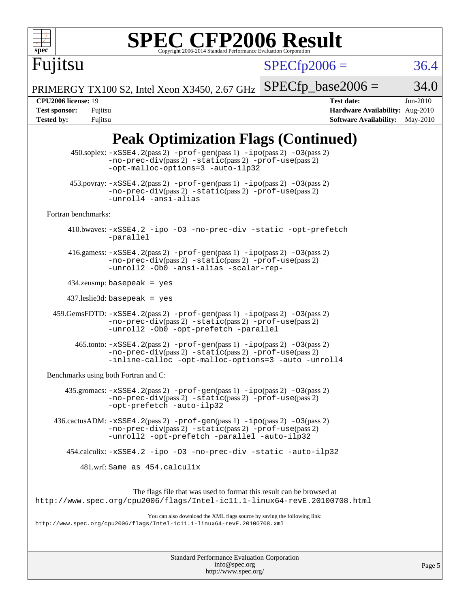

# **[SPEC CFP2006 Result](http://www.spec.org/auto/cpu2006/Docs/result-fields.html#SPECCFP2006Result)**

 $SPECfp2006 = 36.4$  $SPECfp2006 = 36.4$ 

PRIMERGY TX100 S2, Intel Xeon X3450, 2.67 GHz  $SPECfp\_base2006 = 34.0$ 

Fujitsu

**[CPU2006 license:](http://www.spec.org/auto/cpu2006/Docs/result-fields.html#CPU2006license)** 19 **[Test date:](http://www.spec.org/auto/cpu2006/Docs/result-fields.html#Testdate)** Jun-2010 **[Test sponsor:](http://www.spec.org/auto/cpu2006/Docs/result-fields.html#Testsponsor)** Fujitsu **[Hardware Availability:](http://www.spec.org/auto/cpu2006/Docs/result-fields.html#HardwareAvailability)** Aug-2010 **[Tested by:](http://www.spec.org/auto/cpu2006/Docs/result-fields.html#Testedby)** Fujitsu **[Software Availability:](http://www.spec.org/auto/cpu2006/Docs/result-fields.html#SoftwareAvailability)** May-2010

## **[Peak Optimization Flags \(Continued\)](http://www.spec.org/auto/cpu2006/Docs/result-fields.html#PeakOptimizationFlags)**

| $450.\text{soplex: } -x\text{SSE4}.2(\text{pass 2}) - \text{prof-gen}( \text{pass 1}) - \text{ipo}(\text{pass 2}) - 03(\text{pass 2})$<br>-no-prec-div(pass 2) -static(pass 2) -prof-use(pass 2)<br>-opt-malloc-options=3 -auto-ilp32 |  |
|---------------------------------------------------------------------------------------------------------------------------------------------------------------------------------------------------------------------------------------|--|
| $453.$ povray: $-xSSE4.2(pass2)$ -prof-gen $(pass1)$ -ipo $(pass2)$ -03 $(pass2)$<br>$-no-prec-div(pass 2) -static(pass 2) -prof-use(pass 2)$<br>-unroll4 -ansi-alias                                                                 |  |
| Fortran benchmarks:                                                                                                                                                                                                                   |  |
| 410.bwaves: -xSSE4.2 -ipo -03 -no-prec-div -static -opt-prefetch<br>-parallel                                                                                                                                                         |  |
| 416.gamess: $-xSSE4$ . 2(pass 2) $-prof-gen(pass 1) -ipo(pass 2) -03(pass 2)$<br>-no-prec-div(pass 2) -static(pass 2) -prof-use(pass 2)<br>-unroll2 -Ob0 -ansi-alias -scalar-rep-                                                     |  |
| $434$ .zeusmp: basepeak = yes                                                                                                                                                                                                         |  |
| $437$ leslie3d: basepeak = yes                                                                                                                                                                                                        |  |
| $459.GemsFDTD: -xSSE4.2(pass 2) -prof-gen(pass 1) -ipo(pass 2) -03(pass 2)$<br>$-no-prec-div(pass 2) -static(pass 2) -prof-use(pass 2)$<br>-unroll2 -Ob0 -opt-prefetch -parallel                                                      |  |
| 465.tonto: -xSSE4.2(pass 2) -prof-gen(pass 1) -ipo(pass 2) -03(pass 2)<br>$-no-prec-div(pass 2) -static(pass 2) -prof-use(pass 2)$<br>-inline-calloc -opt-malloc-options=3 -auto -unroll4                                             |  |
| Benchmarks using both Fortran and C:                                                                                                                                                                                                  |  |
| 435.gromacs: -xSSE4.2(pass 2) -prof-gen(pass 1) -ipo(pass 2) -03(pass 2)<br>-no-prec-div(pass 2) -static(pass 2) -prof-use(pass 2)<br>-opt-prefetch -auto-ilp32                                                                       |  |
| $436.cactusADM: -xSSE4.2(pass 2) -prof-gen(pass 1) -ipo(pass 2) -03(pass 2)$<br>-no-prec-div(pass 2) -static(pass 2) -prof-use(pass 2)<br>-unroll2 -opt-prefetch -parallel -auto-ilp32                                                |  |
| 454.calculix: -xSSE4.2 -ipo -03 -no-prec-div -static -auto-ilp32                                                                                                                                                                      |  |
| 481.wrf: Same as 454.calculix                                                                                                                                                                                                         |  |
| The flags file that was used to format this result can be browsed at<br>http://www.spec.org/cpu2006/flags/Intel-icll.1-linux64-revE.20100708.html                                                                                     |  |
| You can also download the XML flags source by saving the following link:<br>http://www.spec.org/cpu2006/flags/Intel-icll.1-linux64-revE.20100708.xml                                                                                  |  |
|                                                                                                                                                                                                                                       |  |